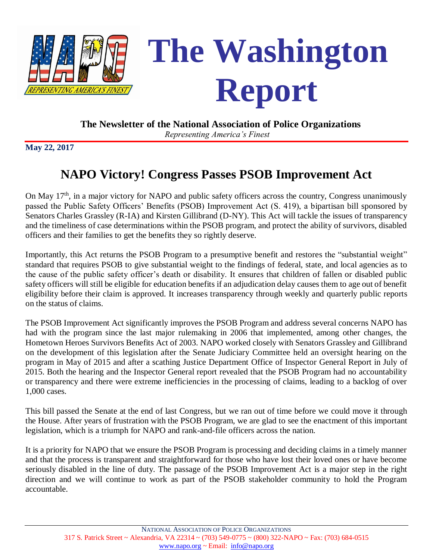

 **The Newsletter of the National Association of Police Organizations**

*Representing America's Finest*

**May 22, 2017**

# **NAPO Victory! Congress Passes PSOB Improvement Act**

On May  $17<sup>th</sup>$ , in a major victory for NAPO and public safety officers across the country, Congress unanimously passed the Public Safety Officers' Benefits (PSOB) Improvement Act (S. 419), a bipartisan bill sponsored by Senators Charles Grassley (R-IA) and Kirsten Gillibrand (D-NY). This Act will tackle the issues of transparency and the timeliness of case determinations within the PSOB program, and protect the ability of survivors, disabled officers and their families to get the benefits they so rightly deserve.

Importantly, this Act returns the PSOB Program to a presumptive benefit and restores the "substantial weight" standard that requires PSOB to give substantial weight to the findings of federal, state, and local agencies as to the cause of the public safety officer's death or disability. It ensures that children of fallen or disabled public safety officers will still be eligible for education benefits if an adjudication delay causes them to age out of benefit eligibility before their claim is approved. It increases transparency through weekly and quarterly public reports on the status of claims.

The PSOB Improvement Act significantly improves the PSOB Program and address several concerns NAPO has had with the program since the last major rulemaking in 2006 that implemented, among other changes, the Hometown Heroes Survivors Benefits Act of 2003. NAPO worked closely with Senators Grassley and Gillibrand on the development of this legislation after the Senate Judiciary Committee held an oversight hearing on the program in May of 2015 and after a scathing Justice Department Office of Inspector General Report in July of 2015. Both the hearing and the Inspector General report revealed that the PSOB Program had no accountability or transparency and there were extreme inefficiencies in the processing of claims, leading to a backlog of over 1,000 cases.

This bill passed the Senate at the end of last Congress, but we ran out of time before we could move it through the House. After years of frustration with the PSOB Program, we are glad to see the enactment of this important legislation, which is a triumph for NAPO and rank-and-file officers across the nation.

It is a priority for NAPO that we ensure the PSOB Program is processing and deciding claims in a timely manner and that the process is transparent and straightforward for those who have lost their loved ones or have become seriously disabled in the line of duty. The passage of the PSOB Improvement Act is a major step in the right direction and we will continue to work as part of the PSOB stakeholder community to hold the Program accountable.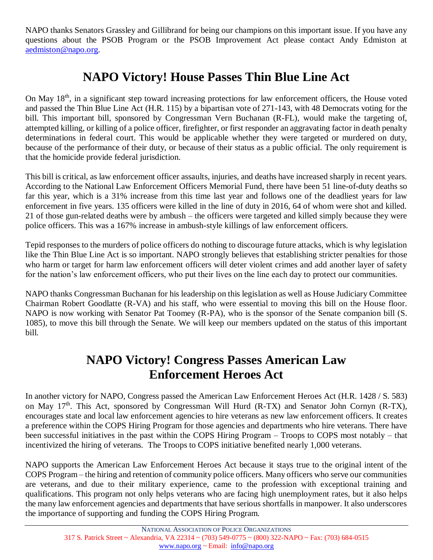NAPO thanks Senators Grassley and Gillibrand for being our champions on this important issue. If you have any questions about the PSOB Program or the PSOB Improvement Act please contact Andy Edmiston at [aedmiston@napo.org.](mailto:aedmiston@napo.org)

### **NAPO Victory! House Passes Thin Blue Line Act**

On May 18<sup>th</sup>, in a significant step toward increasing protections for law enforcement officers, the House voted and passed the Thin Blue Line Act (H.R. 115) by a bipartisan vote of 271-143, with 48 Democrats voting for the bill. This important bill, sponsored by Congressman Vern Buchanan (R-FL), would make the targeting of, attempted killing, or killing of a police officer, firefighter, or first responder an aggravating factor in death penalty determinations in federal court. This would be applicable whether they were targeted or murdered on duty, because of the performance of their duty, or because of their status as a public official. The only requirement is that the homicide provide federal jurisdiction.

This bill is critical, as law enforcement officer assaults, injuries, and deaths have increased sharply in recent years. According to the National Law Enforcement Officers Memorial Fund, there have been 51 line-of-duty deaths so far this year, which is a 31% increase from this time last year and follows one of the deadliest years for law enforcement in five years. 135 officers were killed in the line of duty in 2016, 64 of whom were shot and killed. 21 of those gun-related deaths were by ambush – the officers were targeted and killed simply because they were police officers. This was a 167% increase in ambush-style killings of law enforcement officers.

Tepid responses to the murders of police officers do nothing to discourage future attacks, which is why legislation like the Thin Blue Line Act is so important. NAPO strongly believes that establishing stricter penalties for those who harm or target for harm law enforcement officers will deter violent crimes and add another layer of safety for the nation's law enforcement officers, who put their lives on the line each day to protect our communities.

NAPO thanks Congressman Buchanan for his leadership on this legislation as well as House Judiciary Committee Chairman Robert Goodlatte (R-VA) and his staff, who were essential to moving this bill on the House floor. NAPO is now working with Senator Pat Toomey (R-PA), who is the sponsor of the Senate companion bill (S. 1085), to move this bill through the Senate. We will keep our members updated on the status of this important bill.

#### **NAPO Victory! Congress Passes American Law Enforcement Heroes Act**

In another victory for NAPO, Congress passed the American Law Enforcement Heroes Act (H.R. 1428 / S. 583) on May 17<sup>th</sup>. This Act, sponsored by Congressman Will Hurd (R-TX) and Senator John Cornyn (R-TX), encourages state and local law enforcement agencies to hire veterans as new law enforcement officers. It creates a preference within the COPS Hiring Program for those agencies and departments who hire veterans. There have been successful initiatives in the past within the COPS Hiring Program – Troops to COPS most notably – that incentivized the hiring of veterans. The Troops to COPS initiative benefited nearly 1,000 veterans.

NAPO supports the American Law Enforcement Heroes Act because it stays true to the original intent of the COPS Program – the hiring and retention of community police officers. Many officers who serve our communities are veterans, and due to their military experience, came to the profession with exceptional training and qualifications. This program not only helps veterans who are facing high unemployment rates, but it also helps the many law enforcement agencies and departments that have serious shortfalls in manpower. It also underscores the importance of supporting and funding the COPS Hiring Program.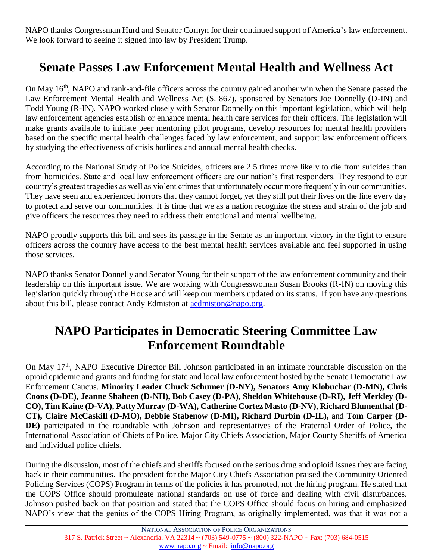NAPO thanks Congressman Hurd and Senator Cornyn for their continued support of America's law enforcement. We look forward to seeing it signed into law by President Trump.

## **Senate Passes Law Enforcement Mental Health and Wellness Act**

On May 16<sup>th</sup>, NAPO and rank-and-file officers across the country gained another win when the Senate passed the Law Enforcement Mental Health and Wellness Act (S. 867), sponsored by Senators Joe Donnelly (D-IN) and Todd Young (R-IN). NAPO worked closely with Senator Donnelly on this important legislation, which will help law enforcement agencies establish or enhance mental health care services for their officers. The legislation will make grants available to initiate peer mentoring pilot programs, develop resources for mental health providers based on the specific mental health challenges faced by law enforcement, and support law enforcement officers by studying the effectiveness of crisis hotlines and annual mental health checks.

According to the National Study of Police Suicides, officers are 2.5 times more likely to die from suicides than from homicides. State and local law enforcement officers are our nation's first responders. They respond to our country's greatest tragedies as well as violent crimes that unfortunately occur more frequently in our communities. They have seen and experienced horrors that they cannot forget, yet they still put their lives on the line every day to protect and serve our communities. It is time that we as a nation recognize the stress and strain of the job and give officers the resources they need to address their emotional and mental wellbeing.

NAPO proudly supports this bill and sees its passage in the Senate as an important victory in the fight to ensure officers across the country have access to the best mental health services available and feel supported in using those services.

NAPO thanks Senator Donnelly and Senator Young for their support of the law enforcement community and their leadership on this important issue. We are working with Congresswoman Susan Brooks (R-IN) on moving this legislation quickly through the House and will keep our members updated on its status. If you have any questions about this bill, please contact Andy Edmiston at [aedmiston@napo.org.](mailto:aedmiston@napo.org)

#### **NAPO Participates in Democratic Steering Committee Law Enforcement Roundtable**

On May 17th, NAPO Executive Director Bill Johnson participated in an intimate roundtable discussion on the opioid epidemic and grants and funding for state and local law enforcement hosted by the Senate Democratic Law Enforcement Caucus. **Minority Leader Chuck Schumer (D-NY), Senators Amy Klobuchar (D-MN), Chris Coons (D-DE), Jeanne Shaheen (D-NH), Bob Casey (D-PA), Sheldon Whitehouse (D-RI), Jeff Merkley (D-CO), Tim Kaine (D-VA), Patty Murray (D-WA), Catherine Cortez Masto (D-NV), Richard Blumenthal (D-CT), Claire McCaskill (D-MO), Debbie Stabenow (D-MI), Richard Durbin (D-IL),** and **Tom Carper (D-DE)** participated in the roundtable with Johnson and representatives of the Fraternal Order of Police, the International Association of Chiefs of Police, Major City Chiefs Association, Major County Sheriffs of America and individual police chiefs.

During the discussion, most of the chiefs and sheriffs focused on the serious drug and opioid issues they are facing back in their communities. The president for the Major City Chiefs Association praised the Community Oriented Policing Services (COPS) Program in terms of the policies it has promoted, not the hiring program. He stated that the COPS Office should promulgate national standards on use of force and dealing with civil disturbances. Johnson pushed back on that position and stated that the COPS Office should focus on hiring and emphasized NAPO's view that the genius of the COPS Hiring Program, as originally implemented, was that it was not a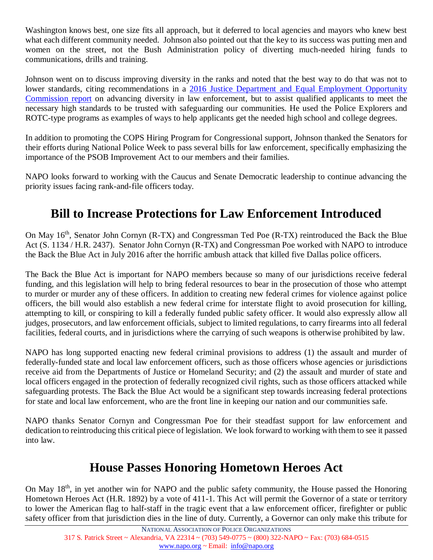Washington knows best, one size fits all approach, but it deferred to local agencies and mayors who knew best what each different community needed. Johnson also pointed out that the key to its success was putting men and women on the street, not the Bush Administration policy of diverting much-needed hiring funds to communications, drills and training.

Johnson went on to discuss improving diversity in the ranks and noted that the best way to do that was not to lower standards, citing recommendations in a [2016 Justice Department and Equal Employment Opportunity](https://www.justice.gov/crt/case-document/file/900761/download)  [Commission report](https://www.justice.gov/crt/case-document/file/900761/download) on advancing diversity in law enforcement, but to assist qualified applicants to meet the necessary high standards to be trusted with safeguarding our communities. He used the Police Explorers and ROTC-type programs as examples of ways to help applicants get the needed high school and college degrees.

In addition to promoting the COPS Hiring Program for Congressional support, Johnson thanked the Senators for their efforts during National Police Week to pass several bills for law enforcement, specifically emphasizing the importance of the PSOB Improvement Act to our members and their families.

NAPO looks forward to working with the Caucus and Senate Democratic leadership to continue advancing the priority issues facing rank-and-file officers today.

## **Bill to Increase Protections for Law Enforcement Introduced**

On May 16<sup>th</sup>, Senator John Cornyn (R-TX) and Congressman Ted Poe (R-TX) reintroduced the Back the Blue Act (S. 1134 / H.R. 2437). Senator John Cornyn (R-TX) and Congressman Poe worked with NAPO to introduce the Back the Blue Act in July 2016 after the horrific ambush attack that killed five Dallas police officers.

The Back the Blue Act is important for NAPO members because so many of our jurisdictions receive federal funding, and this legislation will help to bring federal resources to bear in the prosecution of those who attempt to murder or murder any of these officers. In addition to creating new federal crimes for violence against police officers, the bill would also establish a new federal crime for interstate flight to avoid prosecution for killing, attempting to kill, or conspiring to kill a federally funded public safety officer. It would also expressly allow all judges, prosecutors, and law enforcement officials, subject to limited regulations, to carry firearms into all federal facilities, federal courts, and in jurisdictions where the carrying of such weapons is otherwise prohibited by law.

NAPO has long supported enacting new federal criminal provisions to address (1) the assault and murder of federally-funded state and local law enforcement officers, such as those officers whose agencies or jurisdictions receive aid from the Departments of Justice or Homeland Security; and (2) the assault and murder of state and local officers engaged in the protection of federally recognized civil rights, such as those officers attacked while safeguarding protests. The Back the Blue Act would be a significant step towards increasing federal protections for state and local law enforcement, who are the front line in keeping our nation and our communities safe.

NAPO thanks Senator Cornyn and Congressman Poe for their steadfast support for law enforcement and dedication to reintroducing this critical piece of legislation. We look forward to working with them to see it passed into law.

#### **House Passes Honoring Hometown Heroes Act**

On May 18<sup>th</sup>, in yet another win for NAPO and the public safety community, the House passed the Honoring Hometown Heroes Act (H.R. 1892) by a vote of 411-1. This Act will permit the Governor of a state or territory to lower the American flag to half-staff in the tragic event that a law enforcement officer, firefighter or public safety officer from that jurisdiction dies in the line of duty. Currently, a Governor can only make this tribute for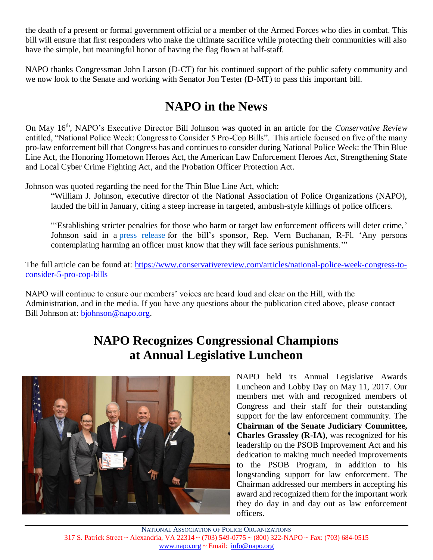the death of a present or formal government official or a member of the Armed Forces who dies in combat. This bill will ensure that first responders who make the ultimate sacrifice while protecting their communities will also have the simple, but meaningful honor of having the flag flown at half-staff.

NAPO thanks Congressman John Larson (D-CT) for his continued support of the public safety community and we now look to the Senate and working with Senator Jon Tester (D-MT) to pass this important bill.

## **NAPO in the News**

On May 16th , NAPO's Executive Director Bill Johnson was quoted in an article for the *Conservative Review* entitled, "National Police Week: Congress to Consider 5 Pro-Cop Bills". This article focused on five of the many pro-law enforcement bill that Congress has and continues to consider during National Police Week: the Thin Blue Line Act, the Honoring Hometown Heroes Act, the American Law Enforcement Heroes Act, Strengthening State and Local Cyber Crime Fighting Act, and the Probation Officer Protection Act.

Johnson was quoted regarding the need for the Thin Blue Line Act, which:

"William J. Johnson, executive director of the National Association of Police Organizations (NAPO), lauded the bill in January, citing a steep increase in targeted, ambush-style killings of police officers.

"'Establishing stricter penalties for those who harm or target law enforcement officers will deter crime,' Johnson said in a press [release](https://buchanan.house.gov/media-center/press-releases/buchanan-urges-crackdown-cop-killers-after-orlando-shooting) for the bill's sponsor, Rep. Vern Buchanan, R-Fl. 'Any persons contemplating harming an officer must know that they will face serious punishments.'"

The full article can be found at: [https://www.conservativereview.com/articles/national-police-week-congress-to](https://www.conservativereview.com/articles/national-police-week-congress-to-consider-5-pro-cop-bills)[consider-5-pro-cop-bills](https://www.conservativereview.com/articles/national-police-week-congress-to-consider-5-pro-cop-bills)

NAPO will continue to ensure our members' voices are heard loud and clear on the Hill, with the Administration, and in the media. If you have any questions about the publication cited above, please contact Bill Johnson at: [bjohnson@napo.org.](mailto:bjohnson@napo.org)

## **NAPO Recognizes Congressional Champions at Annual Legislative Luncheon**



NAPO held its Annual Legislative Awards Luncheon and Lobby Day on May 11, 2017. Our members met with and recognized members of Congress and their staff for their outstanding support for the law enforcement community. The **Chairman of the Senate Judiciary Committee, Charles Grassley (R-IA)**, was recognized for his leadership on the PSOB Improvement Act and his dedication to making much needed improvements to the PSOB Program, in addition to his longstanding support for law enforcement. The Chairman addressed our members in accepting his award and recognized them for the important work they do day in and day out as law enforcement officers.